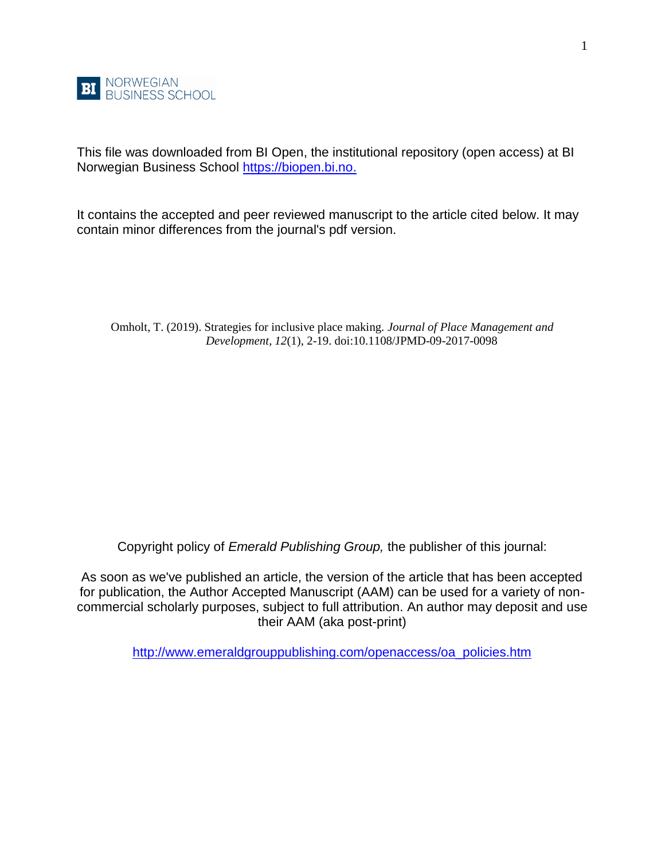

This file was downloaded from BI Open, the institutional repository (open access) at BI Norwegian Business School [https://biopen.bi.no.](https://biopen.bi.no./)

It contains the accepted and peer reviewed manuscript to the article cited below. It may contain minor differences from the journal's pdf version.

Omholt, T. (2019). Strategies for inclusive place making. *Journal of Place Management and Development, 12*(1), 2-19. doi:10.1108/JPMD-09-2017-0098

Copyright policy of *Emerald Publishing Group,* the publisher of this journal:

As soon as we've published an article, the version of the article that has been accepted for publication, the Author Accepted Manuscript (AAM) can be used for a variety of noncommercial scholarly purposes, subject to full attribution. An author may deposit and use their AAM (aka post-print)

[http://www.emeraldgrouppublishing.com/openaccess/oa\\_policies.htm](http://www.emeraldgrouppublishing.com/openaccess/oa_policies.htm)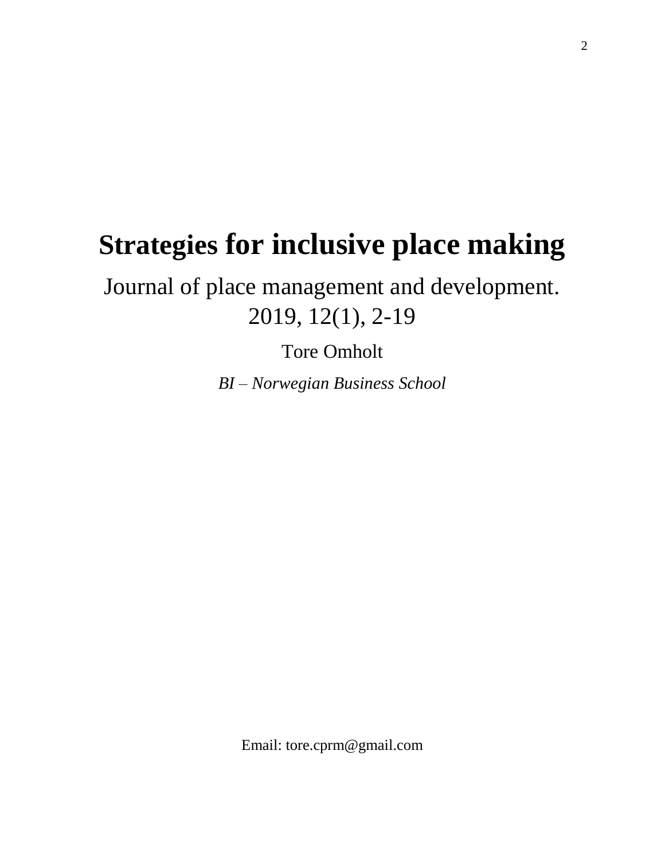# **Strategies for inclusive place making**

## Journal of place management and development. 2019, 12(1), 2-19

Tore Omholt

*BI – Norwegian Business School*

Email: tore.cprm@gmail.com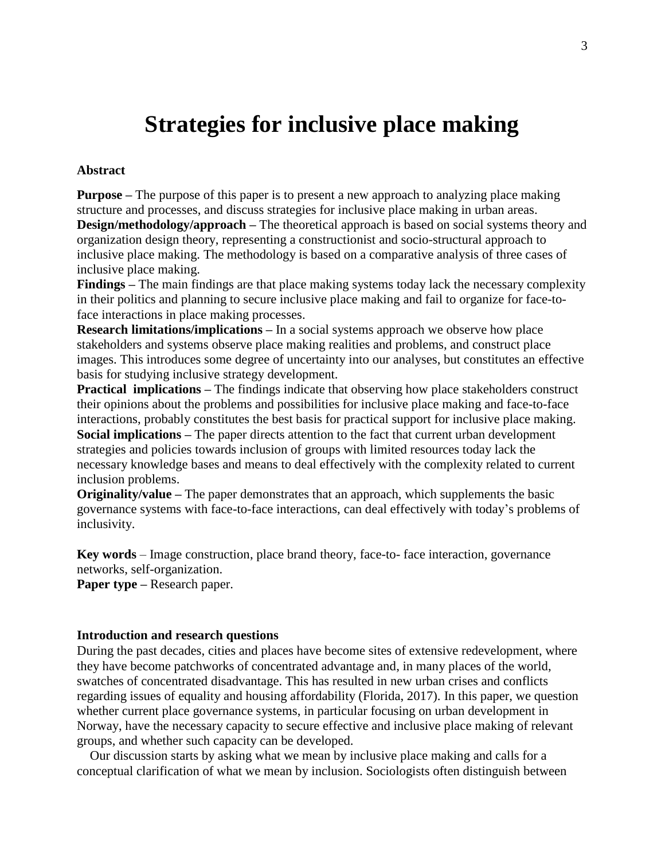## **Strategies for inclusive place making**

#### **Abstract**

**Purpose –** The purpose of this paper is to present a new approach to analyzing place making structure and processes, and discuss strategies for inclusive place making in urban areas. **Design/methodology/approach** – The theoretical approach is based on social systems theory and organization design theory, representing a constructionist and socio-structural approach to inclusive place making. The methodology is based on a comparative analysis of three cases of inclusive place making.

**Findings –** The main findings are that place making systems today lack the necessary complexity in their politics and planning to secure inclusive place making and fail to organize for face-toface interactions in place making processes.

**Research limitations/implications –** In a social systems approach we observe how place stakeholders and systems observe place making realities and problems, and construct place images. This introduces some degree of uncertainty into our analyses, but constitutes an effective basis for studying inclusive strategy development.

**Practical implications** – The findings indicate that observing how place stakeholders construct their opinions about the problems and possibilities for inclusive place making and face-to-face interactions, probably constitutes the best basis for practical support for inclusive place making. **Social implications –** The paper directs attention to the fact that current urban development strategies and policies towards inclusion of groups with limited resources today lack the

necessary knowledge bases and means to deal effectively with the complexity related to current inclusion problems.

**Originality/value –** The paper demonstrates that an approach, which supplements the basic governance systems with face-to-face interactions, can deal effectively with today's problems of inclusivity.

**Key words** – Image construction, place brand theory, face-to- face interaction, governance networks, self-organization.

**Paper type –** Research paper.

## **Introduction and research questions**

During the past decades, cities and places have become sites of extensive redevelopment, where they have become patchworks of concentrated advantage and, in many places of the world, swatches of concentrated disadvantage. This has resulted in new urban crises and conflicts regarding issues of equality and housing affordability (Florida, 2017). In this paper, we question whether current place governance systems, in particular focusing on urban development in Norway, have the necessary capacity to secure effective and inclusive place making of relevant groups, and whether such capacity can be developed.

 Our discussion starts by asking what we mean by inclusive place making and calls for a conceptual clarification of what we mean by inclusion. Sociologists often distinguish between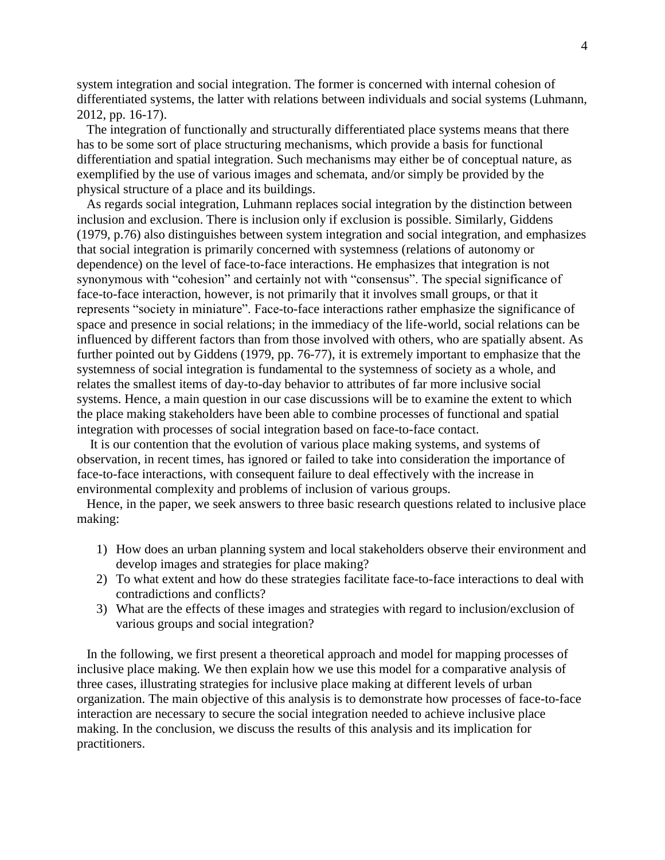system integration and social integration. The former is concerned with internal cohesion of differentiated systems, the latter with relations between individuals and social systems (Luhmann, 2012, pp. 16-17).

 The integration of functionally and structurally differentiated place systems means that there has to be some sort of place structuring mechanisms, which provide a basis for functional differentiation and spatial integration. Such mechanisms may either be of conceptual nature, as exemplified by the use of various images and schemata, and/or simply be provided by the physical structure of a place and its buildings.

 As regards social integration, Luhmann replaces social integration by the distinction between inclusion and exclusion. There is inclusion only if exclusion is possible. Similarly, Giddens (1979, p.76) also distinguishes between system integration and social integration, and emphasizes that social integration is primarily concerned with systemness (relations of autonomy or dependence) on the level of face-to-face interactions. He emphasizes that integration is not synonymous with "cohesion" and certainly not with "consensus". The special significance of face-to-face interaction, however, is not primarily that it involves small groups, or that it represents "society in miniature". Face-to-face interactions rather emphasize the significance of space and presence in social relations; in the immediacy of the life-world, social relations can be influenced by different factors than from those involved with others, who are spatially absent. As further pointed out by Giddens (1979, pp. 76-77), it is extremely important to emphasize that the systemness of social integration is fundamental to the systemness of society as a whole, and relates the smallest items of day-to-day behavior to attributes of far more inclusive social systems. Hence, a main question in our case discussions will be to examine the extent to which the place making stakeholders have been able to combine processes of functional and spatial integration with processes of social integration based on face-to-face contact.

 It is our contention that the evolution of various place making systems, and systems of observation, in recent times, has ignored or failed to take into consideration the importance of face-to-face interactions, with consequent failure to deal effectively with the increase in environmental complexity and problems of inclusion of various groups.

 Hence, in the paper, we seek answers to three basic research questions related to inclusive place making:

- 1) How does an urban planning system and local stakeholders observe their environment and develop images and strategies for place making?
- 2) To what extent and how do these strategies facilitate face-to-face interactions to deal with contradictions and conflicts?
- 3) What are the effects of these images and strategies with regard to inclusion/exclusion of various groups and social integration?

 In the following, we first present a theoretical approach and model for mapping processes of inclusive place making. We then explain how we use this model for a comparative analysis of three cases, illustrating strategies for inclusive place making at different levels of urban organization. The main objective of this analysis is to demonstrate how processes of face-to-face interaction are necessary to secure the social integration needed to achieve inclusive place making. In the conclusion, we discuss the results of this analysis and its implication for practitioners.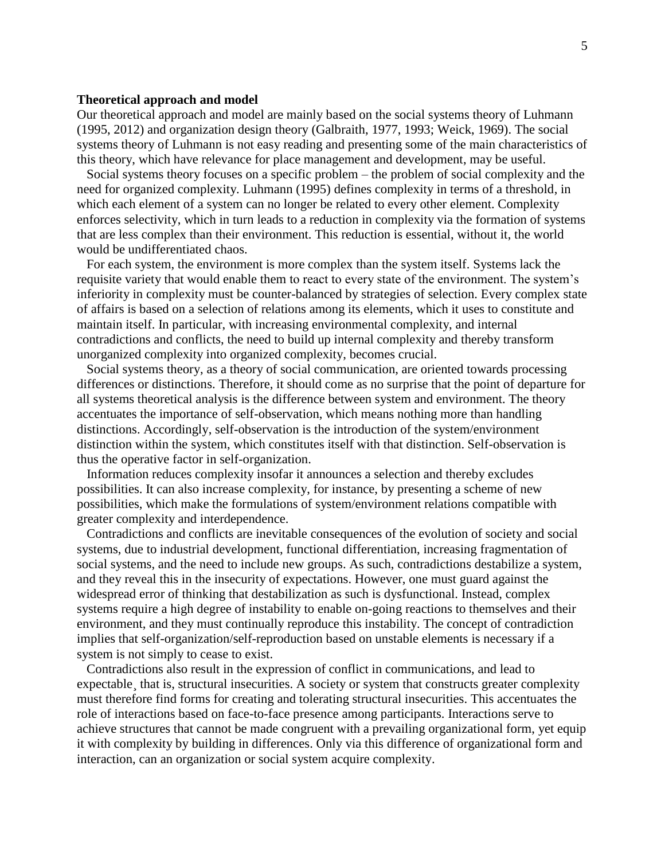#### **Theoretical approach and model**

Our theoretical approach and model are mainly based on the social systems theory of Luhmann (1995, 2012) and organization design theory (Galbraith, 1977, 1993; Weick, 1969). The social systems theory of Luhmann is not easy reading and presenting some of the main characteristics of this theory, which have relevance for place management and development, may be useful.

 Social systems theory focuses on a specific problem – the problem of social complexity and the need for organized complexity. Luhmann (1995) defines complexity in terms of a threshold, in which each element of a system can no longer be related to every other element. Complexity enforces selectivity, which in turn leads to a reduction in complexity via the formation of systems that are less complex than their environment. This reduction is essential, without it, the world would be undifferentiated chaos.

 For each system, the environment is more complex than the system itself. Systems lack the requisite variety that would enable them to react to every state of the environment. The system's inferiority in complexity must be counter-balanced by strategies of selection. Every complex state of affairs is based on a selection of relations among its elements, which it uses to constitute and maintain itself. In particular, with increasing environmental complexity, and internal contradictions and conflicts, the need to build up internal complexity and thereby transform unorganized complexity into organized complexity, becomes crucial.

 Social systems theory, as a theory of social communication, are oriented towards processing differences or distinctions. Therefore, it should come as no surprise that the point of departure for all systems theoretical analysis is the difference between system and environment. The theory accentuates the importance of self-observation, which means nothing more than handling distinctions. Accordingly, self-observation is the introduction of the system/environment distinction within the system, which constitutes itself with that distinction. Self-observation is thus the operative factor in self-organization.

 Information reduces complexity insofar it announces a selection and thereby excludes possibilities. It can also increase complexity, for instance, by presenting a scheme of new possibilities, which make the formulations of system/environment relations compatible with greater complexity and interdependence.

 Contradictions and conflicts are inevitable consequences of the evolution of society and social systems, due to industrial development, functional differentiation, increasing fragmentation of social systems, and the need to include new groups. As such, contradictions destabilize a system, and they reveal this in the insecurity of expectations. However, one must guard against the widespread error of thinking that destabilization as such is dysfunctional. Instead, complex systems require a high degree of instability to enable on-going reactions to themselves and their environment, and they must continually reproduce this instability. The concept of contradiction implies that self-organization/self-reproduction based on unstable elements is necessary if a system is not simply to cease to exist.

 Contradictions also result in the expression of conflict in communications, and lead to expectable, that is, structural insecurities. A society or system that constructs greater complexity must therefore find forms for creating and tolerating structural insecurities. This accentuates the role of interactions based on face-to-face presence among participants. Interactions serve to achieve structures that cannot be made congruent with a prevailing organizational form, yet equip it with complexity by building in differences. Only via this difference of organizational form and interaction, can an organization or social system acquire complexity.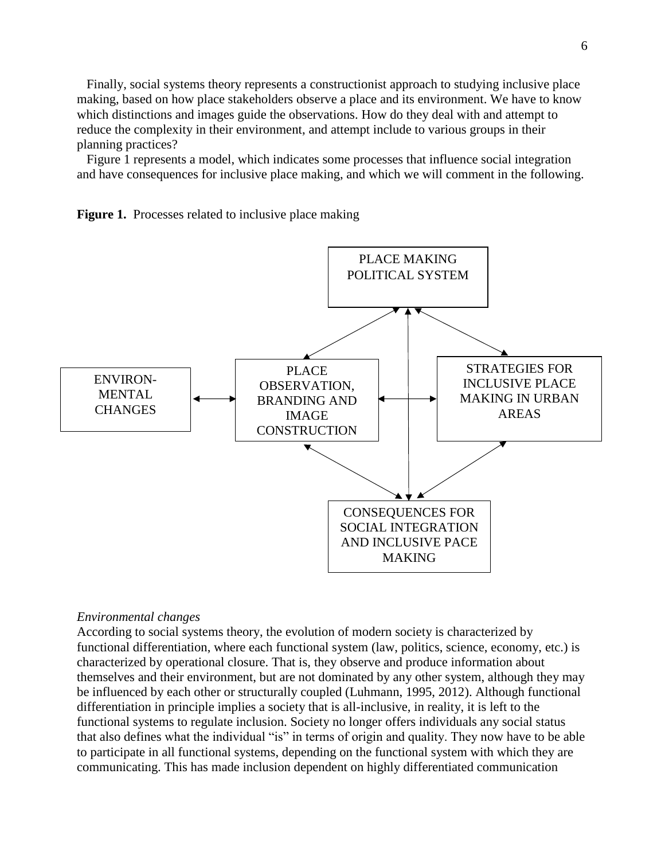Finally, social systems theory represents a constructionist approach to studying inclusive place making, based on how place stakeholders observe a place and its environment. We have to know which distinctions and images guide the observations. How do they deal with and attempt to reduce the complexity in their environment, and attempt include to various groups in their planning practices?

 Figure 1 represents a model, which indicates some processes that influence social integration and have consequences for inclusive place making, and which we will comment in the following.





#### *Environmental changes*

According to social systems theory, the evolution of modern society is characterized by functional differentiation, where each functional system (law, politics, science, economy, etc.) is characterized by operational closure. That is, they observe and produce information about themselves and their environment, but are not dominated by any other system, although they may be influenced by each other or structurally coupled (Luhmann, 1995, 2012). Although functional differentiation in principle implies a society that is all-inclusive, in reality, it is left to the functional systems to regulate inclusion. Society no longer offers individuals any social status that also defines what the individual "is" in terms of origin and quality. They now have to be able to participate in all functional systems, depending on the functional system with which they are communicating. This has made inclusion dependent on highly differentiated communication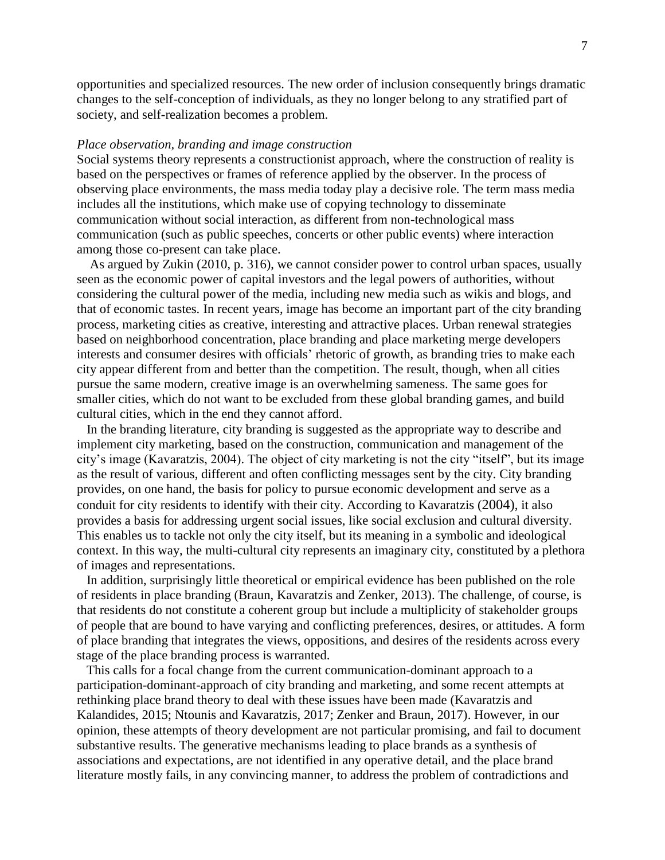opportunities and specialized resources. The new order of inclusion consequently brings dramatic changes to the self-conception of individuals, as they no longer belong to any stratified part of society, and self-realization becomes a problem.

#### *Place observation, branding and image construction*

Social systems theory represents a constructionist approach, where the construction of reality is based on the perspectives or frames of reference applied by the observer. In the process of observing place environments, the mass media today play a decisive role. The term mass media includes all the institutions, which make use of copying technology to disseminate communication without social interaction, as different from non-technological mass communication (such as public speeches, concerts or other public events) where interaction among those co-present can take place.

 As argued by Zukin (2010, p. 316), we cannot consider power to control urban spaces, usually seen as the economic power of capital investors and the legal powers of authorities, without considering the cultural power of the media, including new media such as wikis and blogs, and that of economic tastes. In recent years, image has become an important part of the city branding process, marketing cities as creative, interesting and attractive places. Urban renewal strategies based on neighborhood concentration, place branding and place marketing merge developers interests and consumer desires with officials' rhetoric of growth, as branding tries to make each city appear different from and better than the competition. The result, though, when all cities pursue the same modern, creative image is an overwhelming sameness. The same goes for smaller cities, which do not want to be excluded from these global branding games, and build cultural cities, which in the end they cannot afford.

 In the branding literature, city branding is suggested as the appropriate way to describe and implement city marketing, based on the construction, communication and management of the city's image (Kavaratzis, 2004). The object of city marketing is not the city "itself", but its image as the result of various, different and often conflicting messages sent by the city. City branding provides, on one hand, the basis for policy to pursue economic development and serve as a conduit for city residents to identify with their city. According to Kavaratzis (2004), it also provides a basis for addressing urgent social issues, like social exclusion and cultural diversity. This enables us to tackle not only the city itself, but its meaning in a symbolic and ideological context. In this way, the multi-cultural city represents an imaginary city, constituted by a plethora of images and representations.

 In addition, surprisingly little theoretical or empirical evidence has been published on the role of residents in place branding (Braun, Kavaratzis and Zenker, 2013). The challenge, of course, is that residents do not constitute a coherent group but include a multiplicity of stakeholder groups of people that are bound to have varying and conflicting preferences, desires, or attitudes. A form of place branding that integrates the views, oppositions, and desires of the residents across every stage of the place branding process is warranted.

 This calls for a focal change from the current communication-dominant approach to a participation-dominant-approach of city branding and marketing, and some recent attempts at rethinking place brand theory to deal with these issues have been made (Kavaratzis and Kalandides, 2015; Ntounis and Kavaratzis, 2017; Zenker and Braun, 2017). However, in our opinion, these attempts of theory development are not particular promising, and fail to document substantive results. The generative mechanisms leading to place brands as a synthesis of associations and expectations, are not identified in any operative detail, and the place brand literature mostly fails, in any convincing manner, to address the problem of contradictions and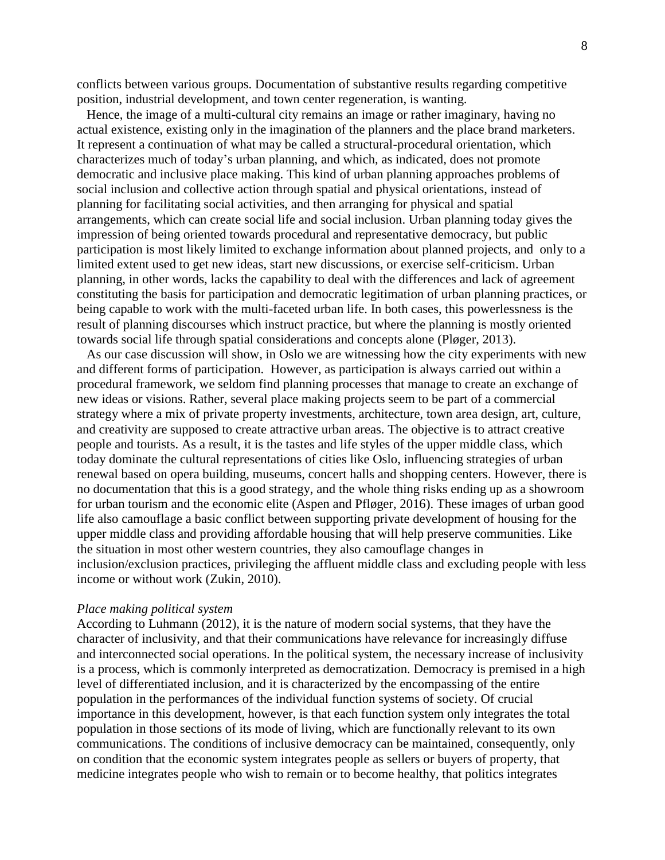conflicts between various groups. Documentation of substantive results regarding competitive position, industrial development, and town center regeneration, is wanting.

 Hence, the image of a multi-cultural city remains an image or rather imaginary, having no actual existence, existing only in the imagination of the planners and the place brand marketers. It represent a continuation of what may be called a structural-procedural orientation, which characterizes much of today's urban planning, and which, as indicated, does not promote democratic and inclusive place making. This kind of urban planning approaches problems of social inclusion and collective action through spatial and physical orientations, instead of planning for facilitating social activities, and then arranging for physical and spatial arrangements, which can create social life and social inclusion. Urban planning today gives the impression of being oriented towards procedural and representative democracy, but public participation is most likely limited to exchange information about planned projects, and only to a limited extent used to get new ideas, start new discussions, or exercise self-criticism. Urban planning, in other words, lacks the capability to deal with the differences and lack of agreement constituting the basis for participation and democratic legitimation of urban planning practices, or being capable to work with the multi-faceted urban life. In both cases, this powerlessness is the result of planning discourses which instruct practice, but where the planning is mostly oriented towards social life through spatial considerations and concepts alone (Pløger, 2013).

 As our case discussion will show, in Oslo we are witnessing how the city experiments with new and different forms of participation. However, as participation is always carried out within a procedural framework, we seldom find planning processes that manage to create an exchange of new ideas or visions. Rather, several place making projects seem to be part of a commercial strategy where a mix of private property investments, architecture, town area design, art, culture, and creativity are supposed to create attractive urban areas. The objective is to attract creative people and tourists. As a result, it is the tastes and life styles of the upper middle class, which today dominate the cultural representations of cities like Oslo, influencing strategies of urban renewal based on opera building, museums, concert halls and shopping centers. However, there is no documentation that this is a good strategy, and the whole thing risks ending up as a showroom for urban tourism and the economic elite (Aspen and Pfløger, 2016). These images of urban good life also camouflage a basic conflict between supporting private development of housing for the upper middle class and providing affordable housing that will help preserve communities. Like the situation in most other western countries, they also camouflage changes in inclusion/exclusion practices, privileging the affluent middle class and excluding people with less income or without work (Zukin, 2010).

## *Place making political system*

According to Luhmann (2012), it is the nature of modern social systems, that they have the character of inclusivity, and that their communications have relevance for increasingly diffuse and interconnected social operations. In the political system, the necessary increase of inclusivity is a process, which is commonly interpreted as democratization. Democracy is premised in a high level of differentiated inclusion, and it is characterized by the encompassing of the entire population in the performances of the individual function systems of society. Of crucial importance in this development, however, is that each function system only integrates the total population in those sections of its mode of living, which are functionally relevant to its own communications. The conditions of inclusive democracy can be maintained, consequently, only on condition that the economic system integrates people as sellers or buyers of property, that medicine integrates people who wish to remain or to become healthy, that politics integrates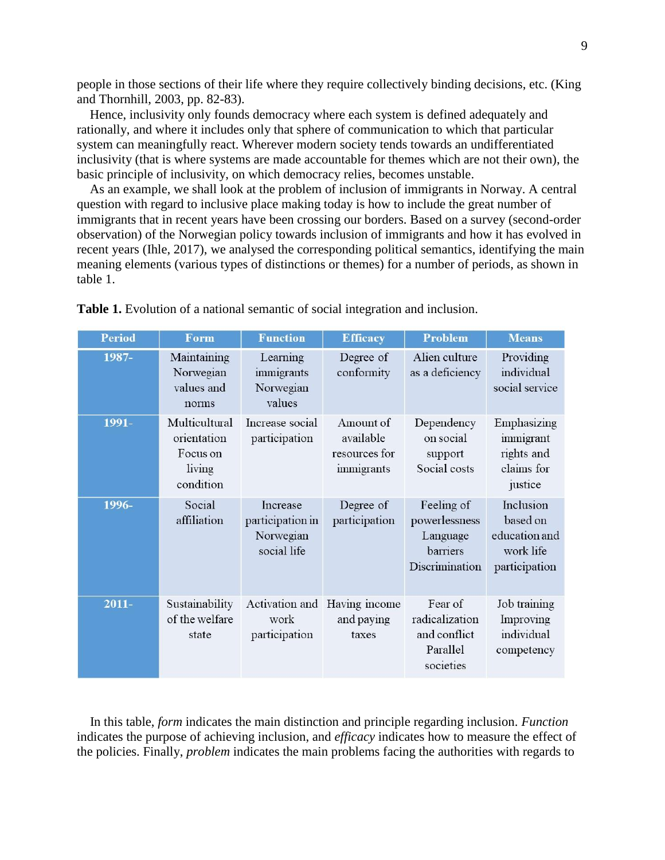people in those sections of their life where they require collectively binding decisions, etc. (King and Thornhill, 2003, pp. 82-83).

 Hence, inclusivity only founds democracy where each system is defined adequately and rationally, and where it includes only that sphere of communication to which that particular system can meaningfully react. Wherever modern society tends towards an undifferentiated inclusivity (that is where systems are made accountable for themes which are not their own), the basic principle of inclusivity, on which democracy relies, becomes unstable.

 As an example, we shall look at the problem of inclusion of immigrants in Norway. A central question with regard to inclusive place making today is how to include the great number of immigrants that in recent years have been crossing our borders. Based on a survey (second-order observation) of the Norwegian policy towards inclusion of immigrants and how it has evolved in recent years (Ihle, 2017), we analysed the corresponding political semantics, identifying the main meaning elements (various types of distinctions or themes) for a number of periods, as shown in table 1.

| <b>Period</b> | Form                                                            | <b>Function</b>                                          | <b>Efficacy</b>                                       | <b>Problem</b>                                                        | <b>Means</b>                                                         |
|---------------|-----------------------------------------------------------------|----------------------------------------------------------|-------------------------------------------------------|-----------------------------------------------------------------------|----------------------------------------------------------------------|
| 1987-         | Maintaining<br>Norwegian<br>values and<br>norms                 | Learning<br>immigrants<br>Norwegian<br>values            | Degree of<br>conformity                               | Alien culture<br>as a deficiency                                      | Providing<br>individual<br>social service                            |
| 1991-         | Multicultural<br>orientation<br>Focus on<br>living<br>condition | Increase social<br>participation                         | Amount of<br>available<br>resources for<br>immigrants | Dependency<br>on social<br>support<br>Social costs                    | Emphasizing<br>immigrant<br>rights and<br>claims for<br>justice      |
| 1996-         | Social<br>affiliation                                           | Increase<br>participation in<br>Norwegian<br>social life | Degree of<br>participation                            | Feeling of<br>powerlessness<br>Language<br>barriers<br>Discrimination | Inclusion<br>based on<br>education and<br>work life<br>participation |
| $2011 -$      | Sustainability<br>of the welfare<br>state                       | Activation and<br>work<br>participation                  | Having income<br>and paying<br>taxes                  | Fear of<br>radicalization<br>and conflict<br>Parallel<br>societies    | Job training<br>Improving<br>individual<br>competency                |

**Table 1.** Evolution of a national semantic of social integration and inclusion.

In this table, *form* indicates the main distinction and principle regarding inclusion. *Function* indicates the purpose of achieving inclusion, and *efficacy* indicates how to measure the effect of the policies. Finally, *problem* indicates the main problems facing the authorities with regards to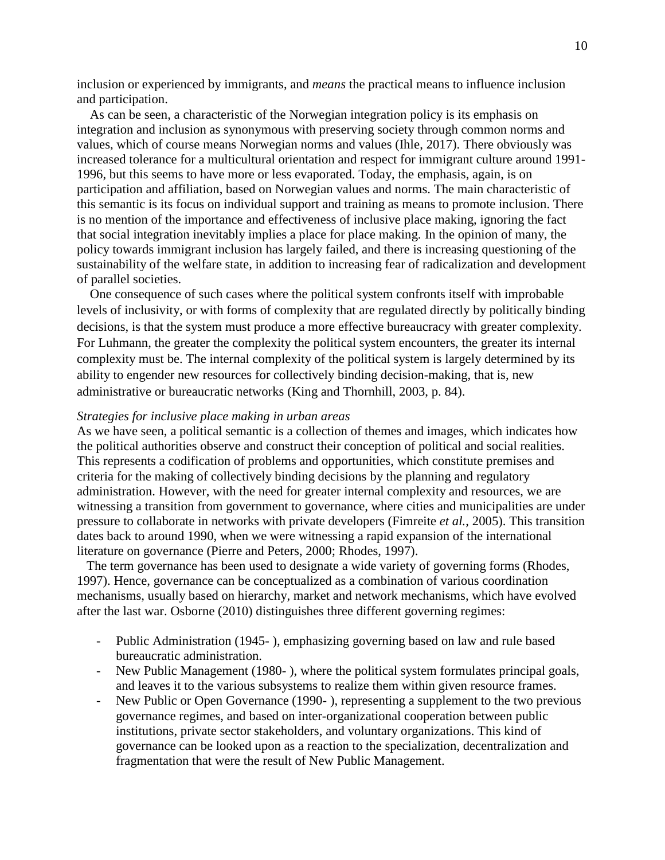inclusion or experienced by immigrants, and *means* the practical means to influence inclusion and participation.

 As can be seen, a characteristic of the Norwegian integration policy is its emphasis on integration and inclusion as synonymous with preserving society through common norms and values, which of course means Norwegian norms and values (Ihle, 2017). There obviously was increased tolerance for a multicultural orientation and respect for immigrant culture around 1991- 1996, but this seems to have more or less evaporated. Today, the emphasis, again, is on participation and affiliation, based on Norwegian values and norms. The main characteristic of this semantic is its focus on individual support and training as means to promote inclusion. There is no mention of the importance and effectiveness of inclusive place making, ignoring the fact that social integration inevitably implies a place for place making. In the opinion of many, the policy towards immigrant inclusion has largely failed, and there is increasing questioning of the sustainability of the welfare state, in addition to increasing fear of radicalization and development of parallel societies.

 One consequence of such cases where the political system confronts itself with improbable levels of inclusivity, or with forms of complexity that are regulated directly by politically binding decisions, is that the system must produce a more effective bureaucracy with greater complexity. For Luhmann, the greater the complexity the political system encounters, the greater its internal complexity must be. The internal complexity of the political system is largely determined by its ability to engender new resources for collectively binding decision-making, that is, new administrative or bureaucratic networks (King and Thornhill, 2003, p. 84).

#### *Strategies for inclusive place making in urban areas*

As we have seen, a political semantic is a collection of themes and images, which indicates how the political authorities observe and construct their conception of political and social realities. This represents a codification of problems and opportunities, which constitute premises and criteria for the making of collectively binding decisions by the planning and regulatory administration. However, with the need for greater internal complexity and resources, we are witnessing a transition from government to governance, where cities and municipalities are under pressure to collaborate in networks with private developers (Fimreite *et al.*, 2005). This transition dates back to around 1990, when we were witnessing a rapid expansion of the international literature on governance (Pierre and Peters, 2000; Rhodes, 1997).

 The term governance has been used to designate a wide variety of governing forms (Rhodes, 1997). Hence, governance can be conceptualized as a combination of various coordination mechanisms, usually based on hierarchy, market and network mechanisms, which have evolved after the last war. Osborne (2010) distinguishes three different governing regimes:

- Public Administration (1945-), emphasizing governing based on law and rule based bureaucratic administration.
- New Public Management (1980-), where the political system formulates principal goals, and leaves it to the various subsystems to realize them within given resource frames.
- New Public or Open Governance (1990-), representing a supplement to the two previous governance regimes, and based on inter-organizational cooperation between public institutions, private sector stakeholders, and voluntary organizations. This kind of governance can be looked upon as a reaction to the specialization, decentralization and fragmentation that were the result of New Public Management.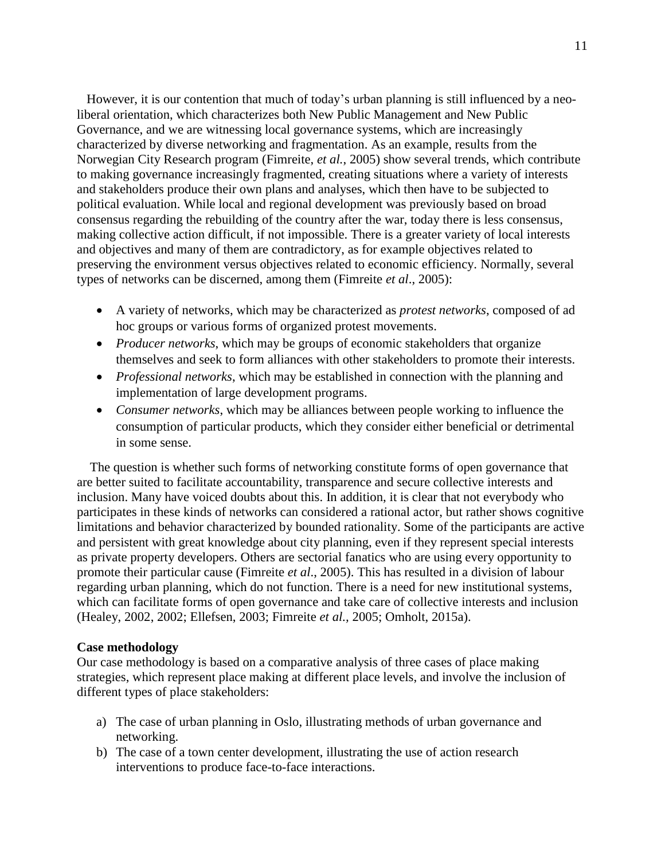However, it is our contention that much of today's urban planning is still influenced by a neoliberal orientation, which characterizes both New Public Management and New Public Governance, and we are witnessing local governance systems, which are increasingly characterized by diverse networking and fragmentation. As an example, results from the Norwegian City Research program (Fimreite, *et al.*, 2005) show several trends, which contribute to making governance increasingly fragmented, creating situations where a variety of interests and stakeholders produce their own plans and analyses, which then have to be subjected to political evaluation. While local and regional development was previously based on broad consensus regarding the rebuilding of the country after the war, today there is less consensus, making collective action difficult, if not impossible. There is a greater variety of local interests and objectives and many of them are contradictory, as for example objectives related to preserving the environment versus objectives related to economic efficiency. Normally, several types of networks can be discerned, among them (Fimreite *et al*., 2005):

- A variety of networks, which may be characterized as *protest networks*, composed of ad hoc groups or various forms of organized protest movements.
- *Producer networks*, which may be groups of economic stakeholders that organize themselves and seek to form alliances with other stakeholders to promote their interests.
- *Professional networks*, which may be established in connection with the planning and implementation of large development programs.
- *Consumer networks*, which may be alliances between people working to influence the consumption of particular products, which they consider either beneficial or detrimental in some sense.

 The question is whether such forms of networking constitute forms of open governance that are better suited to facilitate accountability, transparence and secure collective interests and inclusion. Many have voiced doubts about this. In addition, it is clear that not everybody who participates in these kinds of networks can considered a rational actor, but rather shows cognitive limitations and behavior characterized by bounded rationality. Some of the participants are active and persistent with great knowledge about city planning, even if they represent special interests as private property developers. Others are sectorial fanatics who are using every opportunity to promote their particular cause (Fimreite *et al*., 2005). This has resulted in a division of labour regarding urban planning, which do not function. There is a need for new institutional systems, which can facilitate forms of open governance and take care of collective interests and inclusion (Healey, 2002, 2002; Ellefsen, 2003; Fimreite *et al.,* 2005; Omholt, 2015a).

## **Case methodology**

Our case methodology is based on a comparative analysis of three cases of place making strategies, which represent place making at different place levels, and involve the inclusion of different types of place stakeholders:

- a) The case of urban planning in Oslo, illustrating methods of urban governance and networking.
- b) The case of a town center development, illustrating the use of action research interventions to produce face-to-face interactions.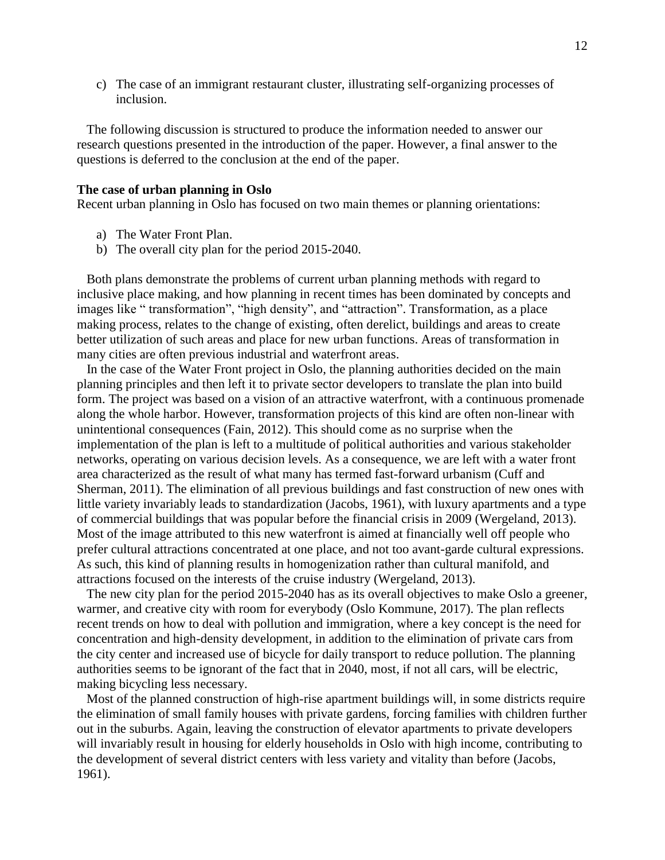c) The case of an immigrant restaurant cluster, illustrating self-organizing processes of inclusion.

 The following discussion is structured to produce the information needed to answer our research questions presented in the introduction of the paper. However, a final answer to the questions is deferred to the conclusion at the end of the paper.

#### **The case of urban planning in Oslo**

Recent urban planning in Oslo has focused on two main themes or planning orientations:

- a) The Water Front Plan.
- b) The overall city plan for the period 2015-2040.

 Both plans demonstrate the problems of current urban planning methods with regard to inclusive place making, and how planning in recent times has been dominated by concepts and images like " transformation", "high density", and "attraction". Transformation, as a place making process, relates to the change of existing, often derelict, buildings and areas to create better utilization of such areas and place for new urban functions. Areas of transformation in many cities are often previous industrial and waterfront areas.

 In the case of the Water Front project in Oslo, the planning authorities decided on the main planning principles and then left it to private sector developers to translate the plan into build form. The project was based on a vision of an attractive waterfront, with a continuous promenade along the whole harbor. However, transformation projects of this kind are often non-linear with unintentional consequences (Fain, 2012). This should come as no surprise when the implementation of the plan is left to a multitude of political authorities and various stakeholder networks, operating on various decision levels. As a consequence, we are left with a water front area characterized as the result of what many has termed fast-forward urbanism (Cuff and Sherman, 2011). The elimination of all previous buildings and fast construction of new ones with little variety invariably leads to standardization (Jacobs, 1961), with luxury apartments and a type of commercial buildings that was popular before the financial crisis in 2009 (Wergeland, 2013). Most of the image attributed to this new waterfront is aimed at financially well off people who prefer cultural attractions concentrated at one place, and not too avant-garde cultural expressions. As such, this kind of planning results in homogenization rather than cultural manifold, and attractions focused on the interests of the cruise industry (Wergeland, 2013).

 The new city plan for the period 2015-2040 has as its overall objectives to make Oslo a greener, warmer, and creative city with room for everybody (Oslo Kommune, 2017). The plan reflects recent trends on how to deal with pollution and immigration, where a key concept is the need for concentration and high-density development, in addition to the elimination of private cars from the city center and increased use of bicycle for daily transport to reduce pollution. The planning authorities seems to be ignorant of the fact that in 2040, most, if not all cars, will be electric, making bicycling less necessary.

 Most of the planned construction of high-rise apartment buildings will, in some districts require the elimination of small family houses with private gardens, forcing families with children further out in the suburbs. Again, leaving the construction of elevator apartments to private developers will invariably result in housing for elderly households in Oslo with high income, contributing to the development of several district centers with less variety and vitality than before (Jacobs, 1961).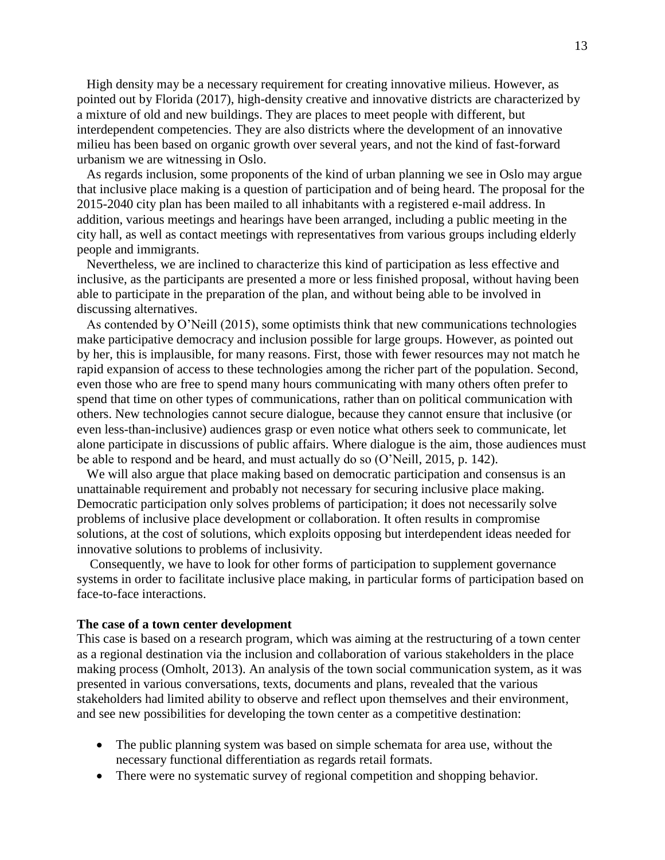High density may be a necessary requirement for creating innovative milieus. However, as pointed out by Florida (2017), high-density creative and innovative districts are characterized by a mixture of old and new buildings. They are places to meet people with different, but interdependent competencies. They are also districts where the development of an innovative milieu has been based on organic growth over several years, and not the kind of fast-forward urbanism we are witnessing in Oslo.

 As regards inclusion, some proponents of the kind of urban planning we see in Oslo may argue that inclusive place making is a question of participation and of being heard. The proposal for the 2015-2040 city plan has been mailed to all inhabitants with a registered e-mail address. In addition, various meetings and hearings have been arranged, including a public meeting in the city hall, as well as contact meetings with representatives from various groups including elderly people and immigrants.

 Nevertheless, we are inclined to characterize this kind of participation as less effective and inclusive, as the participants are presented a more or less finished proposal, without having been able to participate in the preparation of the plan, and without being able to be involved in discussing alternatives.

 As contended by O'Neill (2015), some optimists think that new communications technologies make participative democracy and inclusion possible for large groups. However, as pointed out by her, this is implausible, for many reasons. First, those with fewer resources may not match he rapid expansion of access to these technologies among the richer part of the population. Second, even those who are free to spend many hours communicating with many others often prefer to spend that time on other types of communications, rather than on political communication with others. New technologies cannot secure dialogue, because they cannot ensure that inclusive (or even less-than-inclusive) audiences grasp or even notice what others seek to communicate, let alone participate in discussions of public affairs. Where dialogue is the aim, those audiences must be able to respond and be heard, and must actually do so (O'Neill, 2015, p. 142).

 We will also argue that place making based on democratic participation and consensus is an unattainable requirement and probably not necessary for securing inclusive place making. Democratic participation only solves problems of participation; it does not necessarily solve problems of inclusive place development or collaboration. It often results in compromise solutions, at the cost of solutions, which exploits opposing but interdependent ideas needed for innovative solutions to problems of inclusivity.

 Consequently, we have to look for other forms of participation to supplement governance systems in order to facilitate inclusive place making, in particular forms of participation based on face-to-face interactions.

#### **The case of a town center development**

This case is based on a research program, which was aiming at the restructuring of a town center as a regional destination via the inclusion and collaboration of various stakeholders in the place making process (Omholt, 2013). An analysis of the town social communication system, as it was presented in various conversations, texts, documents and plans, revealed that the various stakeholders had limited ability to observe and reflect upon themselves and their environment, and see new possibilities for developing the town center as a competitive destination:

- The public planning system was based on simple schemata for area use, without the necessary functional differentiation as regards retail formats.
- There were no systematic survey of regional competition and shopping behavior.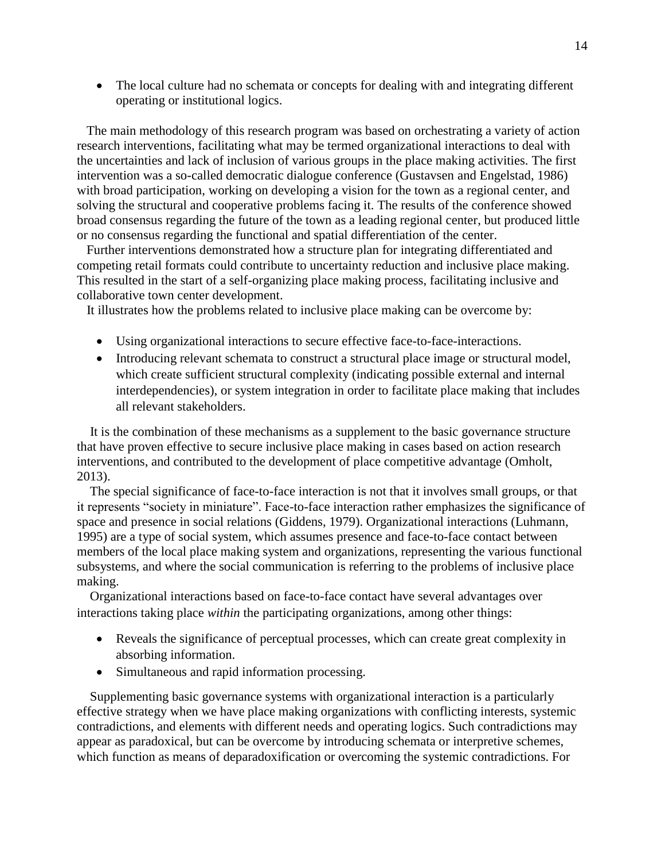• The local culture had no schemata or concepts for dealing with and integrating different operating or institutional logics.

 The main methodology of this research program was based on orchestrating a variety of action research interventions, facilitating what may be termed organizational interactions to deal with the uncertainties and lack of inclusion of various groups in the place making activities. The first intervention was a so-called democratic dialogue conference (Gustavsen and Engelstad, 1986) with broad participation, working on developing a vision for the town as a regional center, and solving the structural and cooperative problems facing it. The results of the conference showed broad consensus regarding the future of the town as a leading regional center, but produced little or no consensus regarding the functional and spatial differentiation of the center.

 Further interventions demonstrated how a structure plan for integrating differentiated and competing retail formats could contribute to uncertainty reduction and inclusive place making. This resulted in the start of a self-organizing place making process, facilitating inclusive and collaborative town center development.

It illustrates how the problems related to inclusive place making can be overcome by:

- Using organizational interactions to secure effective face-to-face-interactions.
- Introducing relevant schemata to construct a structural place image or structural model, which create sufficient structural complexity (indicating possible external and internal interdependencies), or system integration in order to facilitate place making that includes all relevant stakeholders.

 It is the combination of these mechanisms as a supplement to the basic governance structure that have proven effective to secure inclusive place making in cases based on action research interventions, and contributed to the development of place competitive advantage (Omholt, 2013).

 The special significance of face-to-face interaction is not that it involves small groups, or that it represents "society in miniature". Face-to-face interaction rather emphasizes the significance of space and presence in social relations (Giddens, 1979). Organizational interactions (Luhmann, 1995) are a type of social system, which assumes presence and face-to-face contact between members of the local place making system and organizations, representing the various functional subsystems, and where the social communication is referring to the problems of inclusive place making.

 Organizational interactions based on face-to-face contact have several advantages over interactions taking place *within* the participating organizations, among other things:

- Reveals the significance of perceptual processes, which can create great complexity in absorbing information.
- Simultaneous and rapid information processing.

 Supplementing basic governance systems with organizational interaction is a particularly effective strategy when we have place making organizations with conflicting interests, systemic contradictions, and elements with different needs and operating logics. Such contradictions may appear as paradoxical, but can be overcome by introducing schemata or interpretive schemes, which function as means of deparadoxification or overcoming the systemic contradictions. For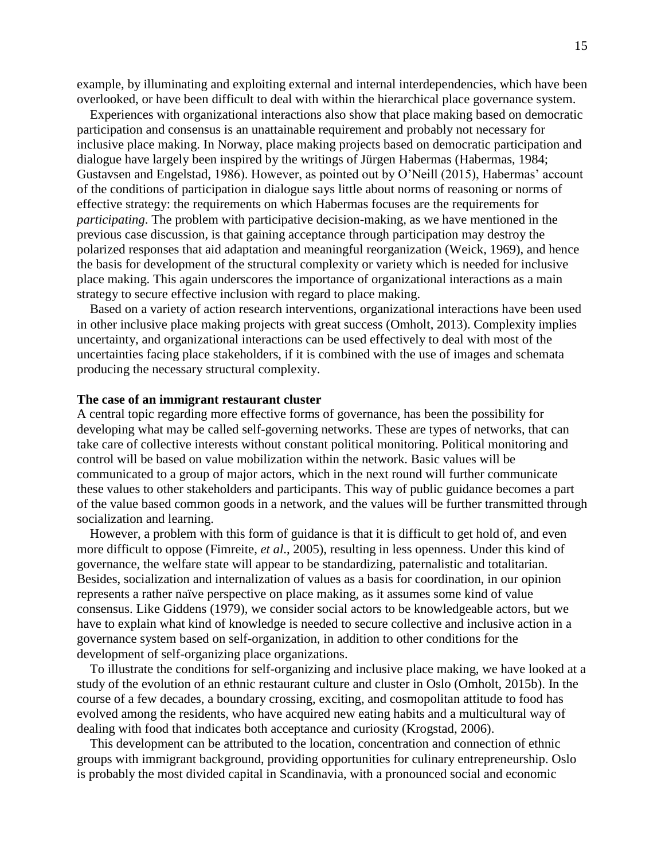example, by illuminating and exploiting external and internal interdependencies, which have been overlooked, or have been difficult to deal with within the hierarchical place governance system.

 Experiences with organizational interactions also show that place making based on democratic participation and consensus is an unattainable requirement and probably not necessary for inclusive place making. In Norway, place making projects based on democratic participation and dialogue have largely been inspired by the writings of Jürgen Habermas (Habermas, 1984; Gustavsen and Engelstad, 1986). However, as pointed out by O'Neill (2015), Habermas' account of the conditions of participation in dialogue says little about norms of reasoning or norms of effective strategy: the requirements on which Habermas focuses are the requirements for *participating*. The problem with participative decision-making, as we have mentioned in the previous case discussion, is that gaining acceptance through participation may destroy the polarized responses that aid adaptation and meaningful reorganization (Weick, 1969), and hence the basis for development of the structural complexity or variety which is needed for inclusive place making. This again underscores the importance of organizational interactions as a main strategy to secure effective inclusion with regard to place making.

 Based on a variety of action research interventions, organizational interactions have been used in other inclusive place making projects with great success (Omholt, 2013). Complexity implies uncertainty, and organizational interactions can be used effectively to deal with most of the uncertainties facing place stakeholders, if it is combined with the use of images and schemata producing the necessary structural complexity.

### **The case of an immigrant restaurant cluster**

A central topic regarding more effective forms of governance, has been the possibility for developing what may be called self-governing networks. These are types of networks, that can take care of collective interests without constant political monitoring. Political monitoring and control will be based on value mobilization within the network. Basic values will be communicated to a group of major actors, which in the next round will further communicate these values to other stakeholders and participants. This way of public guidance becomes a part of the value based common goods in a network, and the values will be further transmitted through socialization and learning.

 However, a problem with this form of guidance is that it is difficult to get hold of, and even more difficult to oppose (Fimreite, *et al*., 2005), resulting in less openness. Under this kind of governance, the welfare state will appear to be standardizing, paternalistic and totalitarian. Besides, socialization and internalization of values as a basis for coordination, in our opinion represents a rather naïve perspective on place making, as it assumes some kind of value consensus. Like Giddens (1979), we consider social actors to be knowledgeable actors, but we have to explain what kind of knowledge is needed to secure collective and inclusive action in a governance system based on self-organization, in addition to other conditions for the development of self-organizing place organizations.

 To illustrate the conditions for self-organizing and inclusive place making, we have looked at a study of the evolution of an ethnic restaurant culture and cluster in Oslo (Omholt, 2015b). In the course of a few decades, a boundary crossing, exciting, and cosmopolitan attitude to food has evolved among the residents, who have acquired new eating habits and a multicultural way of dealing with food that indicates both acceptance and curiosity (Krogstad, 2006).

 This development can be attributed to the location, concentration and connection of ethnic groups with immigrant background, providing opportunities for culinary entrepreneurship. Oslo is probably the most divided capital in Scandinavia, with a pronounced social and economic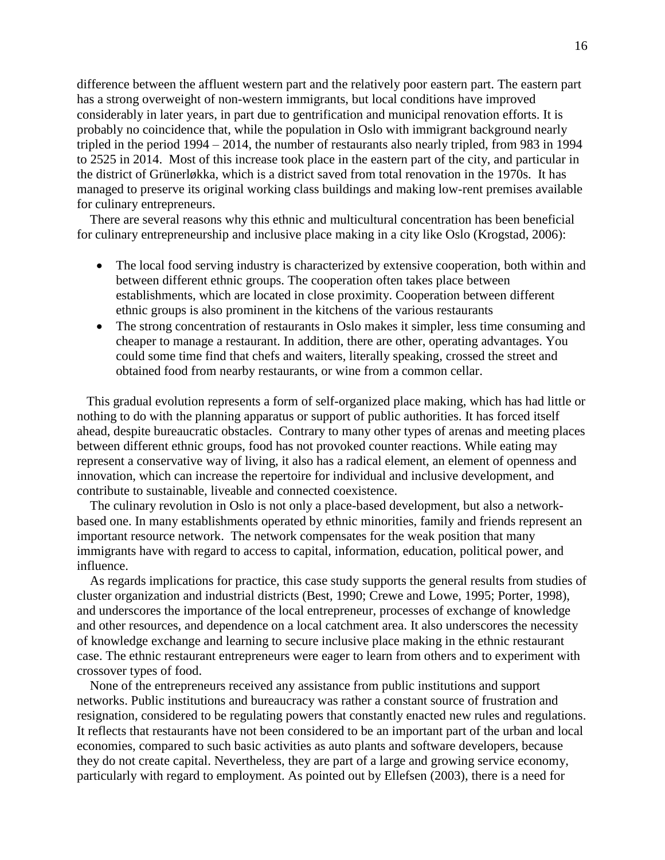difference between the affluent western part and the relatively poor eastern part. The eastern part has a strong overweight of non-western immigrants, but local conditions have improved considerably in later years, in part due to gentrification and municipal renovation efforts. It is probably no coincidence that, while the population in Oslo with immigrant background nearly tripled in the period 1994 – 2014, the number of restaurants also nearly tripled, from 983 in 1994 to 2525 in 2014. Most of this increase took place in the eastern part of the city, and particular in the district of Grünerløkka, which is a district saved from total renovation in the 1970s. It has managed to preserve its original working class buildings and making low-rent premises available for culinary entrepreneurs.

 There are several reasons why this ethnic and multicultural concentration has been beneficial for culinary entrepreneurship and inclusive place making in a city like Oslo (Krogstad, 2006):

- The local food serving industry is characterized by extensive cooperation, both within and between different ethnic groups. The cooperation often takes place between establishments, which are located in close proximity. Cooperation between different ethnic groups is also prominent in the kitchens of the various restaurants
- The strong concentration of restaurants in Oslo makes it simpler, less time consuming and cheaper to manage a restaurant. In addition, there are other, operating advantages. You could some time find that chefs and waiters, literally speaking, crossed the street and obtained food from nearby restaurants, or wine from a common cellar.

 This gradual evolution represents a form of self-organized place making, which has had little or nothing to do with the planning apparatus or support of public authorities. It has forced itself ahead, despite bureaucratic obstacles. Contrary to many other types of arenas and meeting places between different ethnic groups, food has not provoked counter reactions. While eating may represent a conservative way of living, it also has a radical element, an element of openness and innovation, which can increase the repertoire for individual and inclusive development, and contribute to sustainable, liveable and connected coexistence.

 The culinary revolution in Oslo is not only a place-based development, but also a networkbased one. In many establishments operated by ethnic minorities, family and friends represent an important resource network. The network compensates for the weak position that many immigrants have with regard to access to capital, information, education, political power, and influence.

 As regards implications for practice, this case study supports the general results from studies of cluster organization and industrial districts (Best, 1990; Crewe and Lowe, 1995; Porter, 1998), and underscores the importance of the local entrepreneur, processes of exchange of knowledge and other resources, and dependence on a local catchment area. It also underscores the necessity of knowledge exchange and learning to secure inclusive place making in the ethnic restaurant case. The ethnic restaurant entrepreneurs were eager to learn from others and to experiment with crossover types of food.

 None of the entrepreneurs received any assistance from public institutions and support networks. Public institutions and bureaucracy was rather a constant source of frustration and resignation, considered to be regulating powers that constantly enacted new rules and regulations. It reflects that restaurants have not been considered to be an important part of the urban and local economies, compared to such basic activities as auto plants and software developers, because they do not create capital. Nevertheless, they are part of a large and growing service economy, particularly with regard to employment. As pointed out by Ellefsen (2003), there is a need for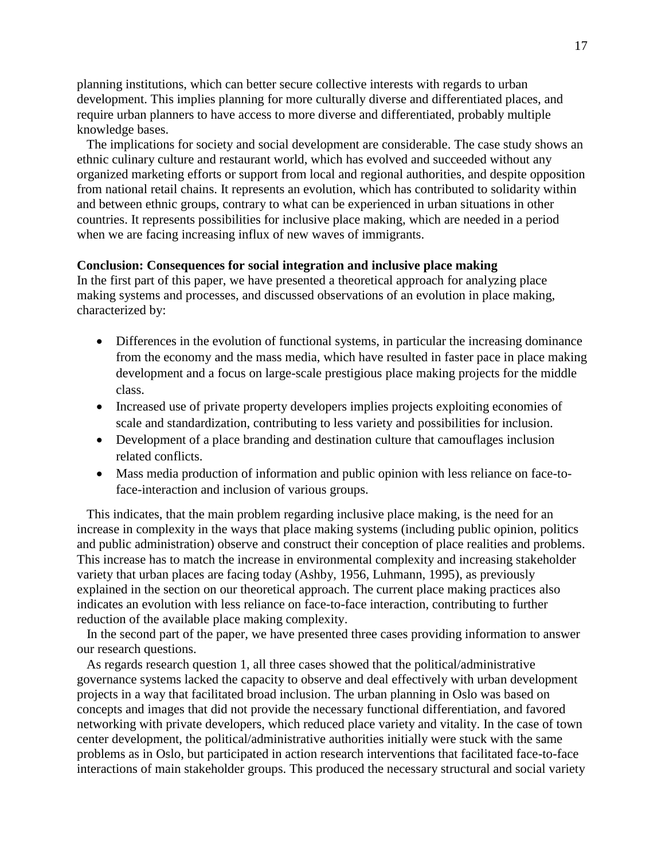planning institutions, which can better secure collective interests with regards to urban development. This implies planning for more culturally diverse and differentiated places, and require urban planners to have access to more diverse and differentiated, probably multiple knowledge bases.

 The implications for society and social development are considerable. The case study shows an ethnic culinary culture and restaurant world, which has evolved and succeeded without any organized marketing efforts or support from local and regional authorities, and despite opposition from national retail chains. It represents an evolution, which has contributed to solidarity within and between ethnic groups, contrary to what can be experienced in urban situations in other countries. It represents possibilities for inclusive place making, which are needed in a period when we are facing increasing influx of new waves of immigrants.

## **Conclusion: Consequences for social integration and inclusive place making**

In the first part of this paper, we have presented a theoretical approach for analyzing place making systems and processes, and discussed observations of an evolution in place making, characterized by:

- Differences in the evolution of functional systems, in particular the increasing dominance from the economy and the mass media, which have resulted in faster pace in place making development and a focus on large-scale prestigious place making projects for the middle class.
- Increased use of private property developers implies projects exploiting economies of scale and standardization, contributing to less variety and possibilities for inclusion.
- Development of a place branding and destination culture that camouflages inclusion related conflicts.
- Mass media production of information and public opinion with less reliance on face-toface-interaction and inclusion of various groups.

 This indicates, that the main problem regarding inclusive place making, is the need for an increase in complexity in the ways that place making systems (including public opinion, politics and public administration) observe and construct their conception of place realities and problems. This increase has to match the increase in environmental complexity and increasing stakeholder variety that urban places are facing today (Ashby, 1956, Luhmann, 1995), as previously explained in the section on our theoretical approach. The current place making practices also indicates an evolution with less reliance on face-to-face interaction, contributing to further reduction of the available place making complexity.

 In the second part of the paper, we have presented three cases providing information to answer our research questions.

 As regards research question 1, all three cases showed that the political/administrative governance systems lacked the capacity to observe and deal effectively with urban development projects in a way that facilitated broad inclusion. The urban planning in Oslo was based on concepts and images that did not provide the necessary functional differentiation, and favored networking with private developers, which reduced place variety and vitality. In the case of town center development, the political/administrative authorities initially were stuck with the same problems as in Oslo, but participated in action research interventions that facilitated face-to-face interactions of main stakeholder groups. This produced the necessary structural and social variety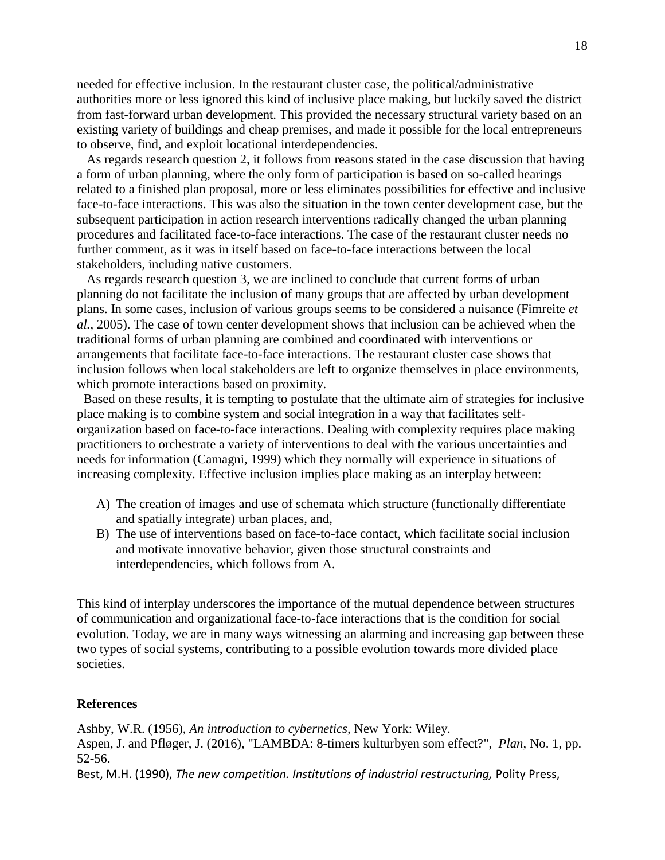needed for effective inclusion. In the restaurant cluster case, the political/administrative authorities more or less ignored this kind of inclusive place making, but luckily saved the district from fast-forward urban development. This provided the necessary structural variety based on an existing variety of buildings and cheap premises, and made it possible for the local entrepreneurs to observe, find, and exploit locational interdependencies.

 As regards research question 2, it follows from reasons stated in the case discussion that having a form of urban planning, where the only form of participation is based on so-called hearings related to a finished plan proposal, more or less eliminates possibilities for effective and inclusive face-to-face interactions. This was also the situation in the town center development case, but the subsequent participation in action research interventions radically changed the urban planning procedures and facilitated face-to-face interactions. The case of the restaurant cluster needs no further comment, as it was in itself based on face-to-face interactions between the local stakeholders, including native customers.

 As regards research question 3, we are inclined to conclude that current forms of urban planning do not facilitate the inclusion of many groups that are affected by urban development plans. In some cases, inclusion of various groups seems to be considered a nuisance (Fimreite *et al.,* 2005). The case of town center development shows that inclusion can be achieved when the traditional forms of urban planning are combined and coordinated with interventions or arrangements that facilitate face-to-face interactions. The restaurant cluster case shows that inclusion follows when local stakeholders are left to organize themselves in place environments, which promote interactions based on proximity.

 Based on these results, it is tempting to postulate that the ultimate aim of strategies for inclusive place making is to combine system and social integration in a way that facilitates selforganization based on face-to-face interactions. Dealing with complexity requires place making practitioners to orchestrate a variety of interventions to deal with the various uncertainties and needs for information (Camagni, 1999) which they normally will experience in situations of increasing complexity. Effective inclusion implies place making as an interplay between:

- A) The creation of images and use of schemata which structure (functionally differentiate and spatially integrate) urban places, and,
- B) The use of interventions based on face-to-face contact, which facilitate social inclusion and motivate innovative behavior, given those structural constraints and interdependencies, which follows from A.

This kind of interplay underscores the importance of the mutual dependence between structures of communication and organizational face-to-face interactions that is the condition for social evolution. Today, we are in many ways witnessing an alarming and increasing gap between these two types of social systems, contributing to a possible evolution towards more divided place societies.

## **References**

Ashby, W.R. (1956), *An introduction to cybernetics,* New York: Wiley. Aspen, J. and Pfløger, J. (2016), "LAMBDA: 8-timers kulturbyen som effect?", *Plan*, No. 1, pp. 52-56.

Best, M.H. (1990), *The new competition. Institutions of industrial restructuring, Polity Press,*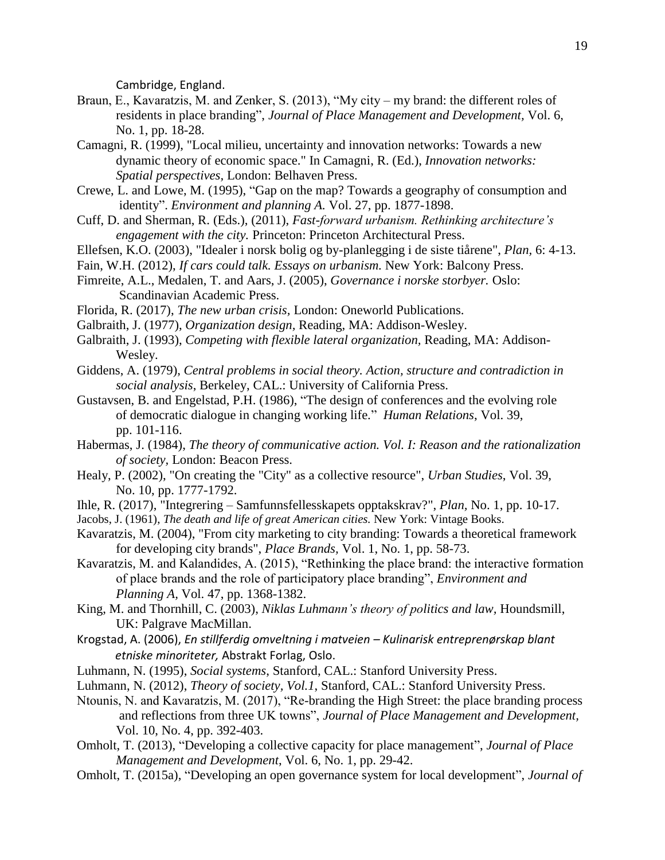Cambridge, England.

- Braun, E., Kavaratzis, M. and Zenker, S. (2013), "My city my brand: the different roles of residents in place branding", *Journal of Place Management and Development,* Vol. 6, No. 1, pp. 18-28.
- Camagni, R. (1999), "Local milieu, uncertainty and innovation networks: Towards a new dynamic theory of economic space." In Camagni, R. (Ed.), *Innovation networks: Spatial perspectives,* London: Belhaven Press.
- Crewe, L. and Lowe, M. (1995), "Gap on the map? Towards a geography of consumption and identity". *Environment and planning A.* Vol. 27, pp. 1877-1898.
- Cuff, D. and Sherman, R. (Eds.), (2011), *Fast-forward urbanism. Rethinking architecture's engagement with the city.* Princeton: Princeton Architectural Press.
- Ellefsen, K.O. (2003), "Idealer i norsk bolig og by-planlegging i de siste tiårene", *Plan,* 6: 4-13.
- Fain, W.H. (2012), *If cars could talk. Essays on urbanism.* New York: Balcony Press.
- Fimreite, A.L., Medalen, T. and Aars, J. (2005), *Governance i norske storbyer.* Oslo: Scandinavian Academic Press.
- Florida, R. (2017), *The new urban crisis,* London: Oneworld Publications.
- Galbraith, J. (1977), *Organization design,* Reading, MA: Addison-Wesley.
- Galbraith, J. (1993), *Competing with flexible lateral organization,* Reading, MA: Addison-Wesley.
- Giddens, A. (1979), *Central problems in social theory. Action, structure and contradiction in social analysis*, Berkeley, CAL.: University of California Press.
- Gustavsen, B. and Engelstad, P.H. (1986), "The design of conferences and the evolving role of democratic dialogue in changing working life." *Human Relations*, Vol. 39, pp. 101-116.
- Habermas, J. (1984), *The theory of communicative action. Vol. I: Reason and the rationalization of society,* London: Beacon Press.
- Healy, P. (2002), "On creating the "City" as a collective resource", *Urban Studies*, Vol. 39, No. 10, pp. 1777-1792.
- Ihle, R. (2017), "Integrering Samfunnsfellesskapets opptakskrav?", *Plan,* No. 1, pp. 10-17.
- Jacobs, J. (1961), *The death and life of great American cities.* New York: Vintage Books.
- Kavaratzis, M. (2004), "From city marketing to city branding: Towards a theoretical framework for developing city brands", *Place Brands,* Vol. 1, No. 1, pp. 58-73.
- Kavaratzis, M. and Kalandides, A. (2015), "Rethinking the place brand: the interactive formation of place brands and the role of participatory place branding", *Environment and Planning A,* Vol. 47, pp. 1368-1382.
- King, M. and Thornhill, C. (2003), *Niklas Luhmann's theory of politics and law,* Houndsmill, UK: Palgrave MacMillan.
- Krogstad, A. (2006), *En stillferdig omveltning i matveien – Kulinarisk entreprenørskap blant etniske minoriteter,* Abstrakt Forlag, Oslo.
- Luhmann, N. (1995), *Social systems*, Stanford, CAL.: Stanford University Press.
- Luhmann, N. (2012), *Theory of society, Vol.1*, Stanford, CAL.: Stanford University Press.
- Ntounis, N. and Kavaratzis, M. (2017), "Re-branding the High Street: the place branding process and reflections from three UK towns", *Journal of Place Management and Development,* Vol. 10, No. 4, pp. 392-403.
- Omholt, T. (2013), "Developing a collective capacity for place management", *Journal of Place Management and Development*, Vol. 6, No. 1, pp. 29-42.
- Omholt, T. (2015a), "Developing an open governance system for local development", *Journal of*